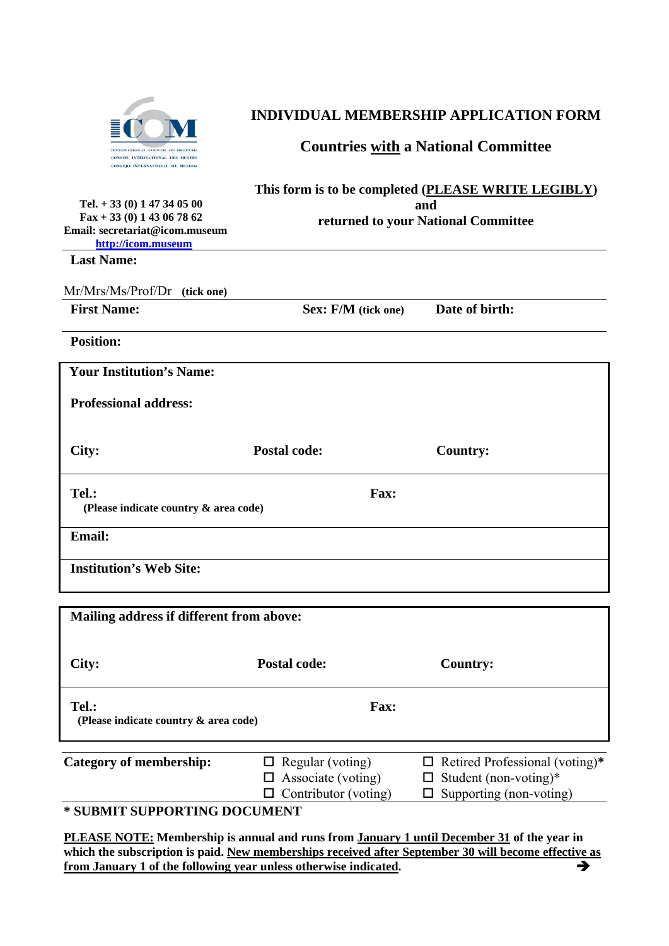

## **INDIVIDUAL MEMBERSHIP APPLICATION FORM**

## **Countries with a National Committee**

| <b>CONSEJO INTERNACIONAL DE MUSEOS</b>                                                                                    |                                                                                                   |                 |
|---------------------------------------------------------------------------------------------------------------------------|---------------------------------------------------------------------------------------------------|-----------------|
| Tel. $+33(0)$ 1 47 34 05 00<br>$\text{Fax} + 33(0)$ 1 43 06 78 62<br>Email: secretariat@icom.museum<br>http://icom.museum | This form is to be completed (PLEASE WRITE LEGIBLY)<br>and<br>returned to your National Committee |                 |
| <b>Last Name:</b>                                                                                                         |                                                                                                   |                 |
| Mr/Mrs/Ms/Prof/Dr<br>(tick one)                                                                                           |                                                                                                   |                 |
| <b>First Name:</b>                                                                                                        | <b>Sex: F/M</b> (tick one)                                                                        | Date of birth:  |
| <b>Position:</b>                                                                                                          |                                                                                                   |                 |
| <b>Your Institution's Name:</b>                                                                                           |                                                                                                   |                 |
| <b>Professional address:</b>                                                                                              |                                                                                                   |                 |
| City:                                                                                                                     | <b>Postal code:</b>                                                                               | <b>Country:</b> |
| Tel.:<br>(Please indicate country & area code)                                                                            | Fax:                                                                                              |                 |
| <b>Email:</b>                                                                                                             |                                                                                                   |                 |
| <b>Institution's Web Site:</b>                                                                                            |                                                                                                   |                 |
|                                                                                                                           |                                                                                                   |                 |
| Mailing address if different from above:                                                                                  |                                                                                                   |                 |
|                                                                                                                           |                                                                                                   |                 |

| City:                                          | <b>Postal code:</b>                                                                 | <b>Country:</b>                                                                                         |
|------------------------------------------------|-------------------------------------------------------------------------------------|---------------------------------------------------------------------------------------------------------|
| Tel.:<br>(Please indicate country & area code) | <b>Fax:</b>                                                                         |                                                                                                         |
| Category of membership:                        | $\Box$ Regular (voting)<br>$\Box$ Associate (voting)<br>$\Box$ Contributor (voting) | $\Box$ Retired Professional (voting)*<br>$\Box$ Student (non-voting)*<br>$\Box$ Supporting (non-voting) |

**\* SUBMIT SUPPORTING DOCUMENT** 

**PLEASE NOTE: Membership is annual and runs from January 1 until December 31 of the year in**  which the subscription is paid. New memberships received after September 30 will become effective as **from January 1 of the following year unless otherwise indicated.**